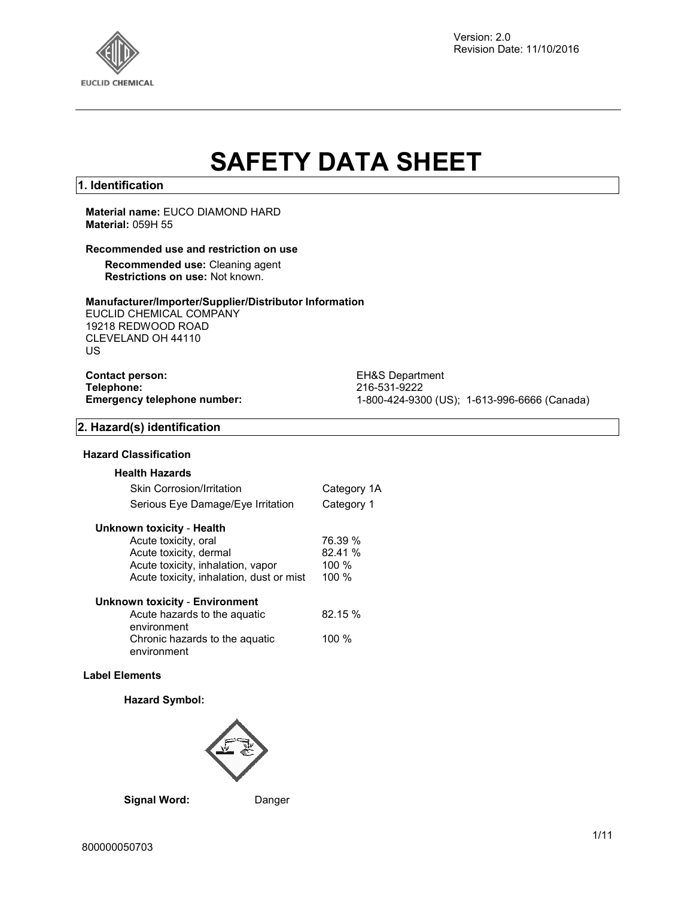

Version: 2.0 Revision Date: 11/10/2016

# **SAFETY DATA SHEET**

## **1. Identification**

## **Material name:** EUCO DIAMOND HARD **Material:** 059H 55

## **Recommended use and restriction on use**

**Recommended use:** Cleaning agent **Restrictions on use:** Not known.

#### **Manufacturer/Importer/Supplier/Distributor Information**

EUCLID CHEMICAL COMPANY 19218 REDWOOD ROAD CLEVELAND OH 44110 US

**Contact person:** EH&S Department<br> **Telephone:** 216-531-9222 **Telephone:** 216-531-9222

**Emergency telephone number:** 1-800-424-9300 (US); 1-613-996-6666 (Canada)

## **2. Hazard(s) identification**

## **Hazard Classification**

| <b>Health Hazards</b>             |             |
|-----------------------------------|-------------|
| <b>Skin Corrosion/Irritation</b>  | Category 1A |
| Serious Eye Damage/Eye Irritation | Category 1  |

#### **Unknown toxicity** - **Health**

| Acute toxicity, oral                     | 76.39 %  |
|------------------------------------------|----------|
| Acute toxicity, dermal                   | 82.41 %  |
| Acute toxicity, inhalation, vapor        | $100 \%$ |
| Acute toxicity, inhalation, dust or mist | 100%     |
|                                          |          |

#### **Unknown toxicity** - **Environment**

| Acute hazards to the aquatic                  | 82.15 % |
|-----------------------------------------------|---------|
| environment<br>Chronic hazards to the aquatic | 100 $%$ |
| environment                                   |         |

## **Label Elements**

## **Hazard Symbol:**



## **Signal Word:** Danger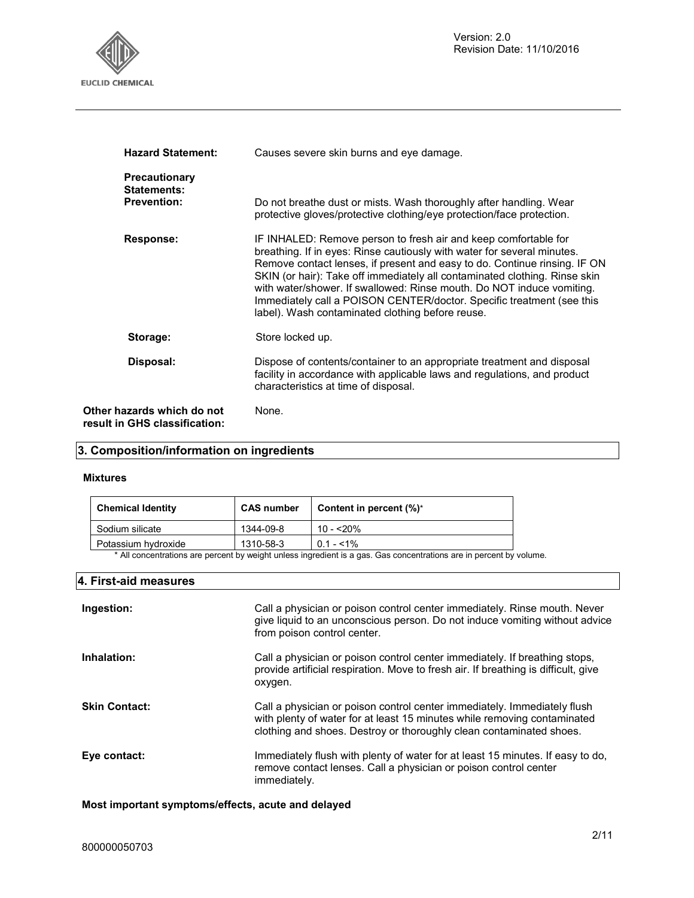

| <b>Hazard Statement:</b>                                    | Causes severe skin burns and eye damage.                                                                                                                                                                                                                                                                                                                                                                                                                                                                    |
|-------------------------------------------------------------|-------------------------------------------------------------------------------------------------------------------------------------------------------------------------------------------------------------------------------------------------------------------------------------------------------------------------------------------------------------------------------------------------------------------------------------------------------------------------------------------------------------|
| <b>Precautionary</b><br>Statements:<br><b>Prevention:</b>   | Do not breathe dust or mists. Wash thoroughly after handling. Wear<br>protective gloves/protective clothing/eye protection/face protection.                                                                                                                                                                                                                                                                                                                                                                 |
| Response:                                                   | IF INHALED: Remove person to fresh air and keep comfortable for<br>breathing. If in eyes: Rinse cautiously with water for several minutes.<br>Remove contact lenses, if present and easy to do. Continue rinsing. IF ON<br>SKIN (or hair): Take off immediately all contaminated clothing. Rinse skin<br>with water/shower. If swallowed: Rinse mouth. Do NOT induce vomiting.<br>Immediately call a POISON CENTER/doctor. Specific treatment (see this<br>label). Wash contaminated clothing before reuse. |
| Storage:                                                    | Store locked up.                                                                                                                                                                                                                                                                                                                                                                                                                                                                                            |
| Disposal:                                                   | Dispose of contents/container to an appropriate treatment and disposal<br>facility in accordance with applicable laws and regulations, and product<br>characteristics at time of disposal.                                                                                                                                                                                                                                                                                                                  |
| Other hazards which do not<br>result in GHS classification: | None.                                                                                                                                                                                                                                                                                                                                                                                                                                                                                                       |

## **3. Composition/information on ingredients**

#### **Mixtures**

| <b>Chemical Identity</b>                                                                                                 | <b>CAS number</b> | Content in percent $(\%)^*$ |
|--------------------------------------------------------------------------------------------------------------------------|-------------------|-----------------------------|
| Sodium silicate                                                                                                          | 1344-09-8         | $10 - 20%$                  |
| Potassium hydroxide                                                                                                      | 1310-58-3         | $0.1 - 51\%$                |
| * All especializations are persont businistically unless incredient is a goa. Can especializations are in personal busin |                   |                             |

All concentrations are percent by weight unless ingredient is a gas. Gas concentrations are in percent by volume.

## **4. First-aid measures**

| Ingestion:           | Call a physician or poison control center immediately. Rinse mouth. Never<br>give liquid to an unconscious person. Do not induce vomiting without advice<br>from poison control center.                                     |
|----------------------|-----------------------------------------------------------------------------------------------------------------------------------------------------------------------------------------------------------------------------|
| Inhalation:          | Call a physician or poison control center immediately. If breathing stops,<br>provide artificial respiration. Move to fresh air. If breathing is difficult, give<br>oxygen.                                                 |
| <b>Skin Contact:</b> | Call a physician or poison control center immediately. Immediately flush<br>with plenty of water for at least 15 minutes while removing contaminated<br>clothing and shoes. Destroy or thoroughly clean contaminated shoes. |
| Eye contact:         | Immediately flush with plenty of water for at least 15 minutes. If easy to do,<br>remove contact lenses. Call a physician or poison control center<br>immediately.                                                          |

**Most important symptoms/effects, acute and delayed**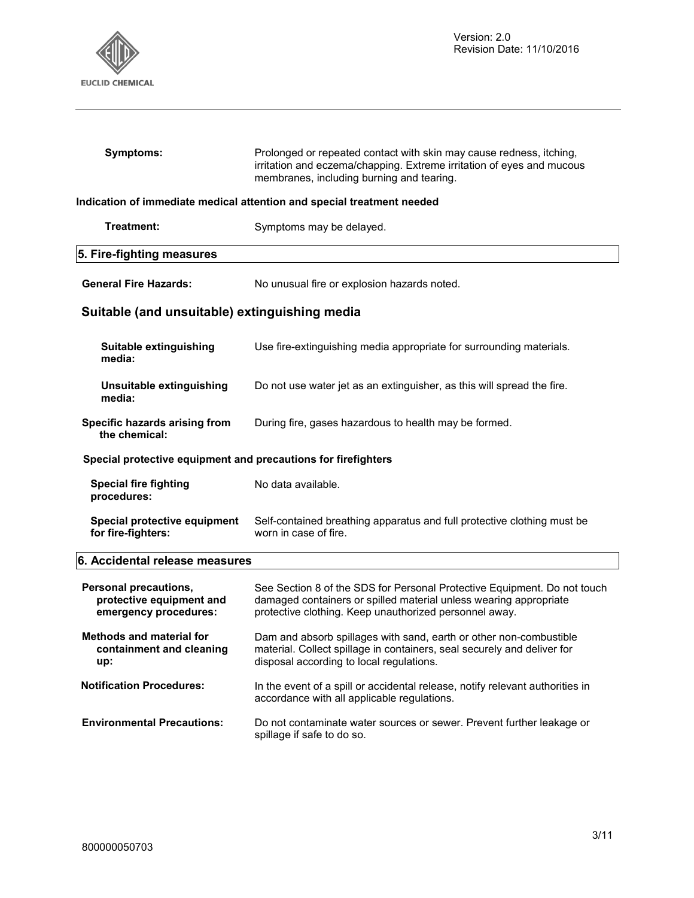

 $\mathsf{l}$ 

 $\overline{\phantom{a}}$ 

| Symptoms:                                                                  | Prolonged or repeated contact with skin may cause redness, itching,<br>irritation and eczema/chapping. Extreme irritation of eyes and mucous<br>membranes, including burning and tearing.               |  |
|----------------------------------------------------------------------------|---------------------------------------------------------------------------------------------------------------------------------------------------------------------------------------------------------|--|
|                                                                            | Indication of immediate medical attention and special treatment needed                                                                                                                                  |  |
| Treatment:                                                                 | Symptoms may be delayed.                                                                                                                                                                                |  |
| 5. Fire-fighting measures                                                  |                                                                                                                                                                                                         |  |
| <b>General Fire Hazards:</b>                                               | No unusual fire or explosion hazards noted.                                                                                                                                                             |  |
| Suitable (and unsuitable) extinguishing media                              |                                                                                                                                                                                                         |  |
| Suitable extinguishing<br>media:                                           | Use fire-extinguishing media appropriate for surrounding materials.                                                                                                                                     |  |
| Unsuitable extinguishing<br>media:                                         | Do not use water jet as an extinguisher, as this will spread the fire.                                                                                                                                  |  |
| Specific hazards arising from<br>the chemical:                             | During fire, gases hazardous to health may be formed.                                                                                                                                                   |  |
| Special protective equipment and precautions for firefighters              |                                                                                                                                                                                                         |  |
| <b>Special fire fighting</b><br>procedures:                                | No data available.                                                                                                                                                                                      |  |
| Special protective equipment<br>for fire-fighters:                         | Self-contained breathing apparatus and full protective clothing must be<br>worn in case of fire.                                                                                                        |  |
| 6. Accidental release measures                                             |                                                                                                                                                                                                         |  |
| Personal precautions,<br>protective equipment and<br>emergency procedures: | See Section 8 of the SDS for Personal Protective Equipment. Do not touch<br>damaged containers or spilled material unless wearing appropriate<br>protective clothing. Keep unauthorized personnel away. |  |
| <b>Methods and material for</b><br>containment and cleaning<br>up:         | Dam and absorb spillages with sand, earth or other non-combustible<br>material. Collect spillage in containers, seal securely and deliver for<br>disposal according to local regulations.               |  |
| <b>Notification Procedures:</b>                                            | In the event of a spill or accidental release, notify relevant authorities in<br>accordance with all applicable regulations.                                                                            |  |
| <b>Environmental Precautions:</b>                                          | Do not contaminate water sources or sewer. Prevent further leakage or<br>spillage if safe to do so.                                                                                                     |  |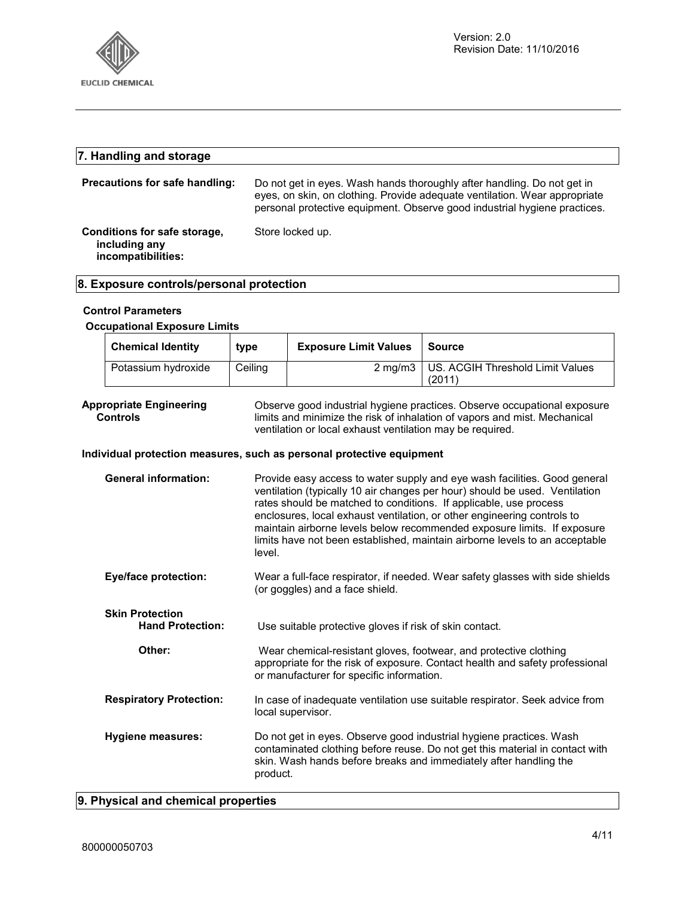

## **7. Handling and storage Precautions for safe handling:** Do not get in eyes. Wash hands thoroughly after handling. Do not get in eyes, on skin, on clothing. Provide adequate ventilation. Wear appropriate personal protective equipment. Observe good industrial hygiene practices. **Conditions for safe storage, including any incompatibilities:**  Store locked up.

## **8. Exposure controls/personal protection**

## **Control Parameters**

## **Occupational Exposure Limits**

| <b>Chemical Identity</b> | type    | <b>Exposure Limit Values</b> | Source                                     |
|--------------------------|---------|------------------------------|--------------------------------------------|
| Potassium hydroxide      | Ceiling |                              | 2 mg/m3   US. ACGIH Threshold Limit Values |
|                          |         |                              | (2011)                                     |

#### **Appropriate Engineering Controls**

Observe good industrial hygiene practices. Observe occupational exposure limits and minimize the risk of inhalation of vapors and mist. Mechanical ventilation or local exhaust ventilation may be required.

## **Individual protection measures, such as personal protective equipment**

| <b>General information:</b>                       | Provide easy access to water supply and eye wash facilities. Good general<br>ventilation (typically 10 air changes per hour) should be used. Ventilation<br>rates should be matched to conditions. If applicable, use process<br>enclosures, local exhaust ventilation, or other engineering controls to<br>maintain airborne levels below recommended exposure limits. If exposure<br>limits have not been established, maintain airborne levels to an acceptable<br>level. |
|---------------------------------------------------|------------------------------------------------------------------------------------------------------------------------------------------------------------------------------------------------------------------------------------------------------------------------------------------------------------------------------------------------------------------------------------------------------------------------------------------------------------------------------|
| <b>Eye/face protection:</b>                       | Wear a full-face respirator, if needed. Wear safety glasses with side shields<br>(or goggles) and a face shield.                                                                                                                                                                                                                                                                                                                                                             |
| <b>Skin Protection</b><br><b>Hand Protection:</b> | Use suitable protective gloves if risk of skin contact.                                                                                                                                                                                                                                                                                                                                                                                                                      |
| Other:                                            | Wear chemical-resistant gloves, footwear, and protective clothing<br>appropriate for the risk of exposure. Contact health and safety professional<br>or manufacturer for specific information.                                                                                                                                                                                                                                                                               |
| <b>Respiratory Protection:</b>                    | In case of inadequate ventilation use suitable respirator. Seek advice from<br>local supervisor.                                                                                                                                                                                                                                                                                                                                                                             |
| <b>Hygiene measures:</b>                          | Do not get in eyes. Observe good industrial hygiene practices. Wash<br>contaminated clothing before reuse. Do not get this material in contact with<br>skin. Wash hands before breaks and immediately after handling the<br>product.                                                                                                                                                                                                                                         |

## **9. Physical and chemical properties**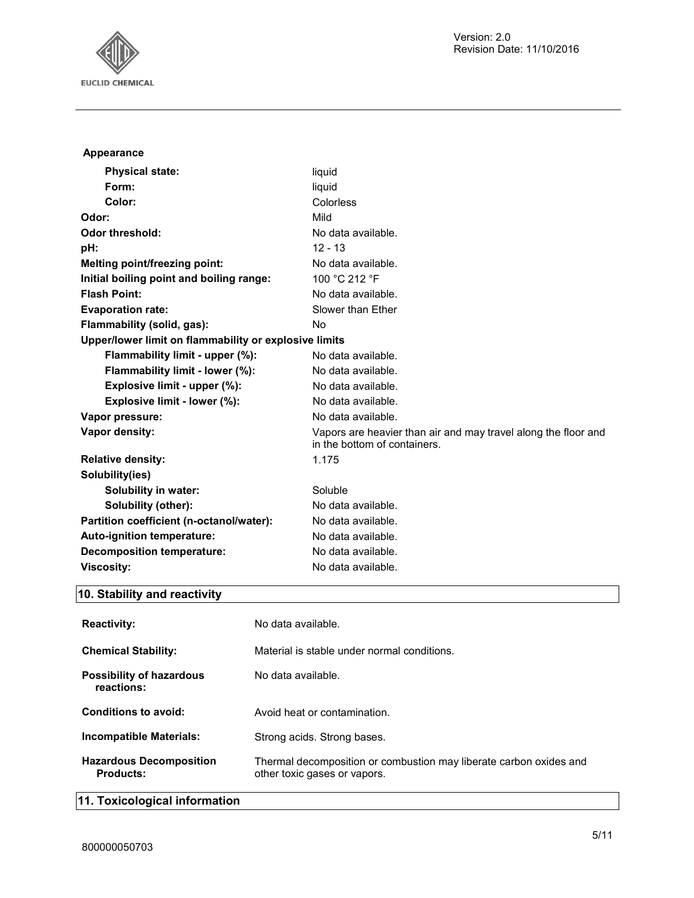

| Appearance                                            |                                                                                                |
|-------------------------------------------------------|------------------------------------------------------------------------------------------------|
| <b>Physical state:</b>                                | liquid                                                                                         |
| Form:                                                 | liquid                                                                                         |
| Color:                                                | Colorless                                                                                      |
| Odor:                                                 | Mild                                                                                           |
| <b>Odor threshold:</b>                                | No data available.                                                                             |
| pH:                                                   | $12 - 13$                                                                                      |
| Melting point/freezing point:                         | No data available.                                                                             |
| Initial boiling point and boiling range:              | 100 °C 212 °F                                                                                  |
| <b>Flash Point:</b>                                   | No data available.                                                                             |
| <b>Evaporation rate:</b>                              | Slower than Ether                                                                              |
| Flammability (solid, gas):                            | No                                                                                             |
| Upper/lower limit on flammability or explosive limits |                                                                                                |
| Flammability limit - upper (%):                       | No data available.                                                                             |
| Flammability limit - lower (%):                       | No data available.                                                                             |
| Explosive limit - upper (%):                          | No data available.                                                                             |
| Explosive limit - lower (%):                          | No data available.                                                                             |
| Vapor pressure:                                       | No data available.                                                                             |
| Vapor density:                                        | Vapors are heavier than air and may travel along the floor and<br>in the bottom of containers. |
| <b>Relative density:</b>                              | 1.175                                                                                          |
| Solubility(ies)                                       |                                                                                                |
| <b>Solubility in water:</b>                           | Soluble                                                                                        |
| Solubility (other):                                   | No data available.                                                                             |
| Partition coefficient (n-octanol/water):              | No data available.                                                                             |
| Auto-ignition temperature:                            | No data available.                                                                             |
| <b>Decomposition temperature:</b>                     | No data available.                                                                             |
| <b>Viscosity:</b>                                     | No data available.                                                                             |

## **10. Stability and reactivity**

| <b>Reactivity:</b>                            | No data available.                                                                                 |
|-----------------------------------------------|----------------------------------------------------------------------------------------------------|
| <b>Chemical Stability:</b>                    | Material is stable under normal conditions.                                                        |
| <b>Possibility of hazardous</b><br>reactions: | No data available.                                                                                 |
| Conditions to avoid:                          | Avoid heat or contamination.                                                                       |
| Incompatible Materials:                       | Strong acids. Strong bases.                                                                        |
| <b>Hazardous Decomposition</b><br>Products:   | Thermal decomposition or combustion may liberate carbon oxides and<br>other toxic gases or vapors. |

## **11. Toxicological information**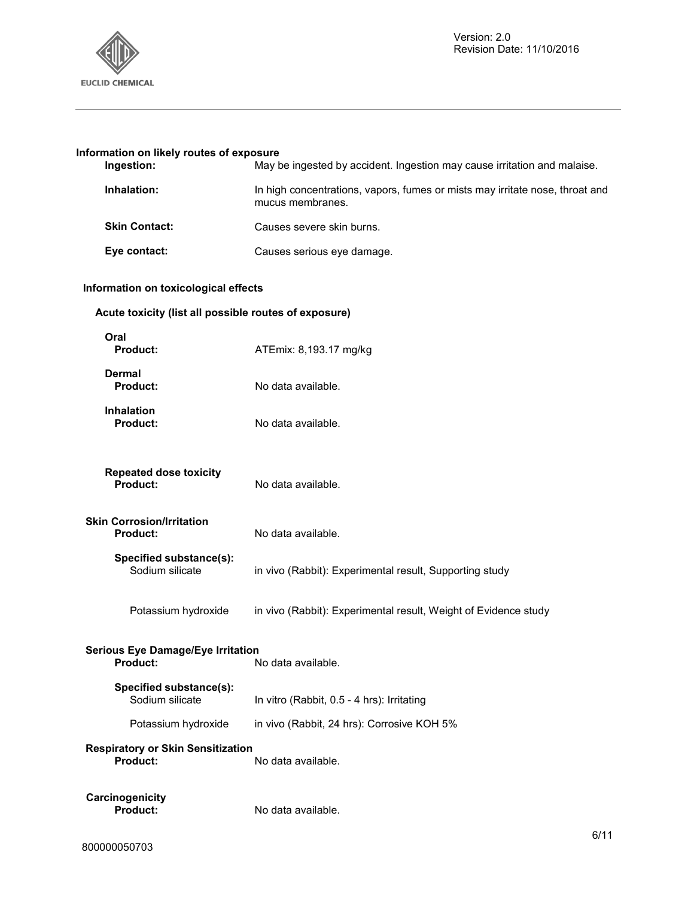

## **Information on likely routes of exposure**

| Ingestion:           | May be ingested by accident. Ingestion may cause irritation and malaise.                         |
|----------------------|--------------------------------------------------------------------------------------------------|
| Inhalation:          | In high concentrations, vapors, fumes or mists may irritate nose, throat and<br>mucus membranes. |
| <b>Skin Contact:</b> | Causes severe skin burns.                                                                        |
| Eye contact:         | Causes serious eye damage.                                                                       |

## **Information on toxicological effects**

## **Acute toxicity (list all possible routes of exposure)**

| Oral<br>Product:                                     | ATEmix: 8,193.17 mg/kg                                          |
|------------------------------------------------------|-----------------------------------------------------------------|
| <b>Dermal</b><br>Product:                            | No data available.                                              |
| <b>Inhalation</b><br>Product:                        | No data available.                                              |
| <b>Repeated dose toxicity</b><br>Product:            | No data available.                                              |
| <b>Skin Corrosion/Irritation</b><br>Product:         | No data available.                                              |
| Specified substance(s):<br>Sodium silicate           | in vivo (Rabbit): Experimental result, Supporting study         |
| Potassium hydroxide                                  | in vivo (Rabbit): Experimental result, Weight of Evidence study |
| <b>Serious Eye Damage/Eye Irritation</b><br>Product: | No data available.                                              |
| Specified substance(s):<br>Sodium silicate           | In vitro (Rabbit, 0.5 - 4 hrs): Irritating                      |
| Potassium hydroxide                                  | in vivo (Rabbit, 24 hrs): Corrosive KOH 5%                      |
| <b>Respiratory or Skin Sensitization</b><br>Product: | No data available.                                              |
| Carcinogenicity<br>Product:                          | No data available.                                              |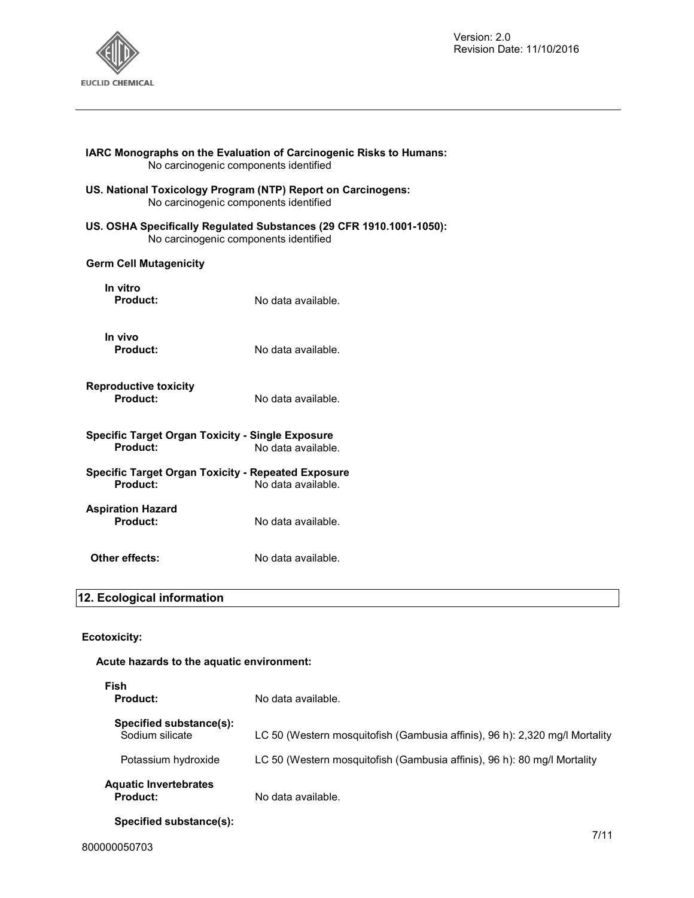

| No carcinogenic components identified                                                                 | <b>IARC Monographs on the Evaluation of Carcinogenic Risks to Humans:</b> |
|-------------------------------------------------------------------------------------------------------|---------------------------------------------------------------------------|
| US. National Toxicology Program (NTP) Report on Carcinogens:<br>No carcinogenic components identified |                                                                           |
| No carcinogenic components identified                                                                 | US. OSHA Specifically Regulated Substances (29 CFR 1910.1001-1050):       |
| <b>Germ Cell Mutagenicity</b>                                                                         |                                                                           |
| In vitro<br><b>Product:</b>                                                                           | No data available.                                                        |
| In vivo<br><b>Product:</b>                                                                            | No data available.                                                        |
| <b>Reproductive toxicity</b><br>Product:                                                              | No data available.                                                        |
| <b>Specific Target Organ Toxicity - Single Exposure</b><br>Product:                                   | No data available.                                                        |
| <b>Specific Target Organ Toxicity - Repeated Exposure</b><br>Product:                                 | No data available.                                                        |
| <b>Aspiration Hazard</b><br>Product:                                                                  | No data available.                                                        |
| Other effects:                                                                                        | No data available.                                                        |
| 2. Englacion information                                                                              |                                                                           |

## **12. Ecological information**

## **Ecotoxicity:**

## **Acute hazards to the aquatic environment:**

| Fish<br>Product:                                | No data available.                                                          |
|-------------------------------------------------|-----------------------------------------------------------------------------|
| Specified substance(s):<br>Sodium silicate      | LC 50 (Western mosquitofish (Gambusia affinis), 96 h): 2,320 mg/l Mortality |
| Potassium hydroxide                             | LC 50 (Western mosquitofish (Gambusia affinis), 96 h): 80 mg/l Mortality    |
| <b>Aquatic Invertebrates</b><br><b>Product:</b> | No data available.                                                          |
| Specified substance(s):                         |                                                                             |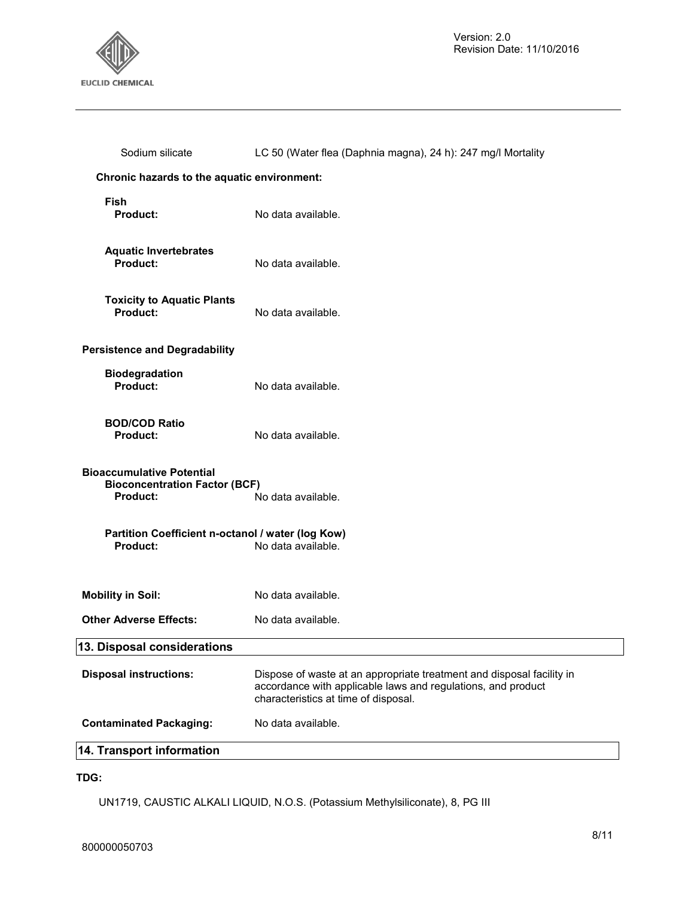

| Sodium silicate                                                                      | LC 50 (Water flea (Daphnia magna), 24 h): 247 mg/l Mortality                                                                                                                  |
|--------------------------------------------------------------------------------------|-------------------------------------------------------------------------------------------------------------------------------------------------------------------------------|
| Chronic hazards to the aquatic environment:                                          |                                                                                                                                                                               |
| Fish<br><b>Product:</b>                                                              | No data available.                                                                                                                                                            |
| <b>Aquatic Invertebrates</b><br>Product:                                             | No data available.                                                                                                                                                            |
| <b>Toxicity to Aquatic Plants</b><br>Product:                                        | No data available.                                                                                                                                                            |
| <b>Persistence and Degradability</b>                                                 |                                                                                                                                                                               |
| <b>Biodegradation</b><br>Product:                                                    | No data available.                                                                                                                                                            |
| <b>BOD/COD Ratio</b><br><b>Product:</b>                                              | No data available.                                                                                                                                                            |
| <b>Bioaccumulative Potential</b><br><b>Bioconcentration Factor (BCF)</b><br>Product: | No data available.                                                                                                                                                            |
| Partition Coefficient n-octanol / water (log Kow)                                    |                                                                                                                                                                               |
| Product:                                                                             | No data available.                                                                                                                                                            |
| <b>Mobility in Soil:</b>                                                             | No data available.                                                                                                                                                            |
| <b>Other Adverse Effects:</b>                                                        | No data available.                                                                                                                                                            |
| 13. Disposal considerations                                                          |                                                                                                                                                                               |
| <b>Disposal instructions:</b>                                                        | Dispose of waste at an appropriate treatment and disposal facility in<br>accordance with applicable laws and regulations, and product<br>characteristics at time of disposal. |
| <b>Contaminated Packaging:</b>                                                       | No data available.                                                                                                                                                            |
| 14. Transport information                                                            |                                                                                                                                                                               |

## **TDG:**

UN1719, CAUSTIC ALKALI LIQUID, N.O.S. (Potassium Methylsiliconate), 8, PG III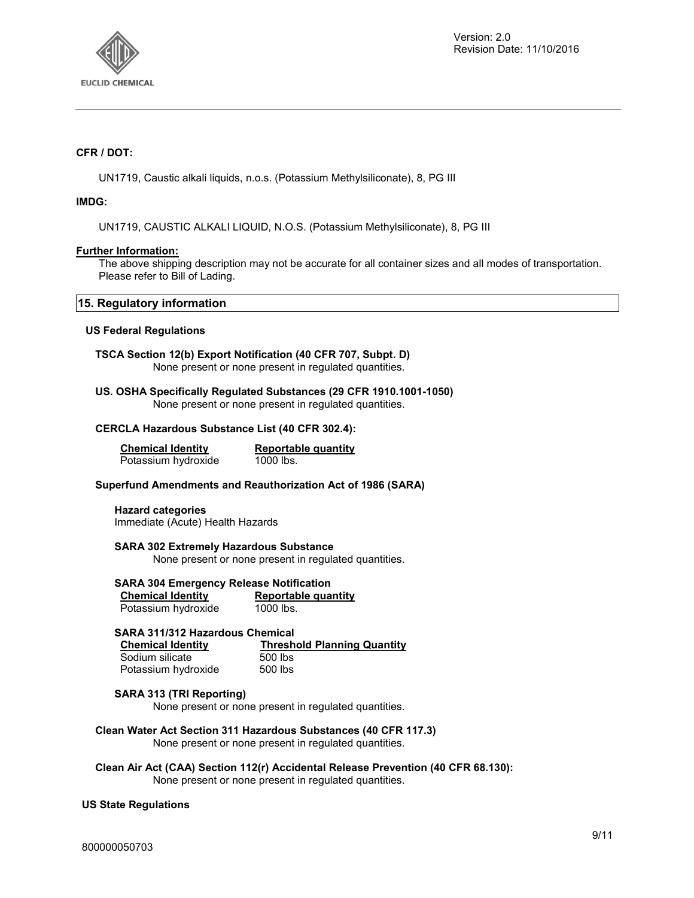

## **CFR / DOT:**

UN1719, Caustic alkali liquids, n.o.s. (Potassium Methylsiliconate), 8, PG III

## **IMDG:**

UN1719, CAUSTIC ALKALI LIQUID, N.O.S. (Potassium Methylsiliconate), 8, PG III

## **Further Information:**

The above shipping description may not be accurate for all container sizes and all modes of transportation. Please refer to Bill of Lading.

## **15. Regulatory information**

## **US Federal Regulations**

**TSCA Section 12(b) Export Notification (40 CFR 707, Subpt. D)**  None present or none present in regulated quantities.

**US. OSHA Specifically Regulated Substances (29 CFR 1910.1001-1050)**  None present or none present in regulated quantities.

#### **CERCLA Hazardous Substance List (40 CFR 302.4):**

**Chemical Identity Reportable quantity** Potassium hydroxide 1000 lbs.

#### **Superfund Amendments and Reauthorization Act of 1986 (SARA)**

**Hazard categories**  Immediate (Acute) Health Hazards

**SARA 302 Extremely Hazardous Substance** 

None present or none present in regulated quantities.

## **SARA 304 Emergency Release Notification**

| <b>Chemical Identity</b> | Reportable quantity |
|--------------------------|---------------------|
| Potassium hydroxide      | 1000 lbs.           |

## **SARA 311/312 Hazardous Chemical**

| <b>Chemical Identity</b> | <b>Threshold Planning Quantity</b> |
|--------------------------|------------------------------------|
| Sodium silicate          | 500 lbs                            |
| Potassium hydroxide      | 500 lbs                            |

## **SARA 313 (TRI Reporting)**

None present or none present in regulated quantities.

#### **Clean Water Act Section 311 Hazardous Substances (40 CFR 117.3)**  None present or none present in regulated quantities.

**Clean Air Act (CAA) Section 112(r) Accidental Release Prevention (40 CFR 68.130):**  None present or none present in regulated quantities.

## **US State Regulations**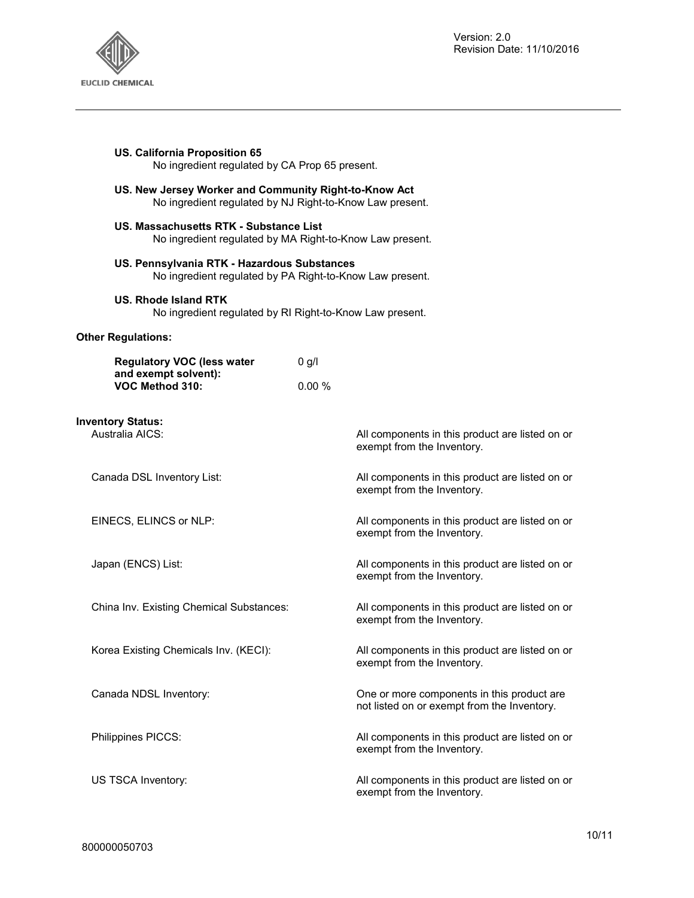

| US. California Proposition 65<br>No ingredient regulated by CA Prop 65 present.                                   |                                                                                           |  |
|-------------------------------------------------------------------------------------------------------------------|-------------------------------------------------------------------------------------------|--|
| US. New Jersey Worker and Community Right-to-Know Act<br>No ingredient regulated by NJ Right-to-Know Law present. |                                                                                           |  |
| US. Massachusetts RTK - Substance List                                                                            | No ingredient regulated by MA Right-to-Know Law present.                                  |  |
| US. Pennsylvania RTK - Hazardous Substances                                                                       | No ingredient regulated by PA Right-to-Know Law present.                                  |  |
| US. Rhode Island RTK<br>No ingredient regulated by RI Right-to-Know Law present.                                  |                                                                                           |  |
| <b>Other Regulations:</b>                                                                                         |                                                                                           |  |
| <b>Regulatory VOC (less water</b>                                                                                 | $0$ g/l                                                                                   |  |
| and exempt solvent):<br>VOC Method 310:                                                                           | 0.00%                                                                                     |  |
| <b>Inventory Status:</b><br>Australia AICS:                                                                       | All components in this product are listed on or<br>exempt from the Inventory.             |  |
| Canada DSL Inventory List:                                                                                        | All components in this product are listed on or<br>exempt from the Inventory.             |  |
| EINECS, ELINCS or NLP:                                                                                            | All components in this product are listed on or<br>exempt from the Inventory.             |  |
| Japan (ENCS) List:                                                                                                | All components in this product are listed on or<br>exempt from the Inventory.             |  |
| China Inv. Existing Chemical Substances:                                                                          | All components in this product are listed on or<br>exempt from the Inventory.             |  |
| Korea Existing Chemicals Inv. (KECI):                                                                             | All components in this product are listed on or<br>exempt from the Inventory.             |  |
| Canada NDSL Inventory:                                                                                            | One or more components in this product are<br>not listed on or exempt from the Inventory. |  |
| Philippines PICCS:                                                                                                | All components in this product are listed on or<br>exempt from the Inventory.             |  |
| US TSCA Inventory:                                                                                                | All components in this product are listed on or<br>exempt from the Inventory.             |  |